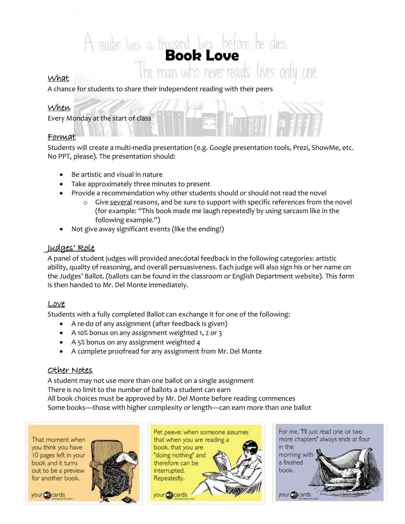# A reader lives a thousand lives before he dies.<br>The man who never reads lives only one.

### What

A chance for students to share their independent reading with their peers

#### When

Every Monday at the start of class

#### Format

Students will create a multi-media presentation (e.g. Google presentation tools, Prezi, ShowMe, etc. No PPT, please). The presentation should:

- Be artistic and visual in nature
- Take approximately three minutes to present
- Provide a recommendation why other students should or should not read the novel
	- $\circ$  Give several reasons, and be sure to support with specific references from the novel (for example: "This book made me laugh repeatedly by using sarcasm like in the following example.")
- Not give away significant events (like the ending!)

# Judges' Role

A panel of student judges will provided anecdotal feedback in the following categories: artistic ability, quality of reasoning, and overall persuasiveness. Each judge will also sign his or her name on the Judges' Ballot. (ballots can be found in the classroom or English Department website). This form is then handed to Mr. Del Monte immediately.

## Love

Students with a fully completed Ballot can exchange it for one of the following:

- A re-do of any assignment (after feedback is given)
- A 10% bonus on any assignment weighted 1, 2 or 3
- A 5% bonus on any assignment weighted 4
- A complete proofread for any assignment from Mr. Del Monte

#### Other Notes

A student may not use more than one ballot on a single assignment There is no limit to the number of ballots a student can earn All book choices must be approved by Mr. Del Monte before reading commences Some books—those with higher complexity or length—can earn more than one ballot

That moment when you think you have 10 pages left in your book and it turns out to be a preview for another book.

your Gecards